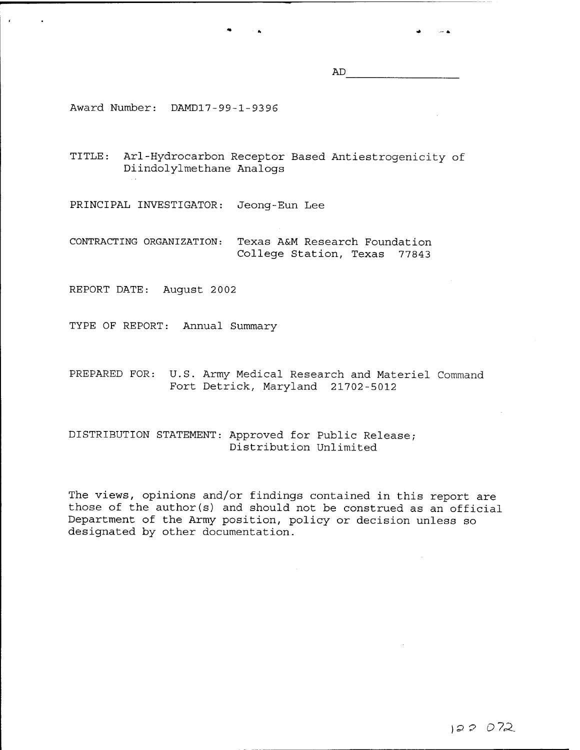AD

Award Number: DAMD17-99-1-93 96

TITLE: Arl-Hydrocarbon Receptor Based Antiestrogenicity of Diindolylmethane Analogs

PRINCIPAL INVESTIGATOR: Jeong-Eun Lee

CONTRACTING ORGANIZATION: Texas A&M Research Foundation College Station, Texas 77843

REPORT DATE: August 2002

TYPE OF REPORT: Annual Summary

PREPARED FOR: U.S. Army Medical Research and Materiel Command Fort Detrick, Maryland 21702-5012

DISTRIBUTION STATEMENT: Approved for Public Release; Distribution Unlimited

The views, opinions and/or findings contained in this report are those of the author(s) and should not be construed as an official Department of the Army position, policy or decision unless so designated by other documentation.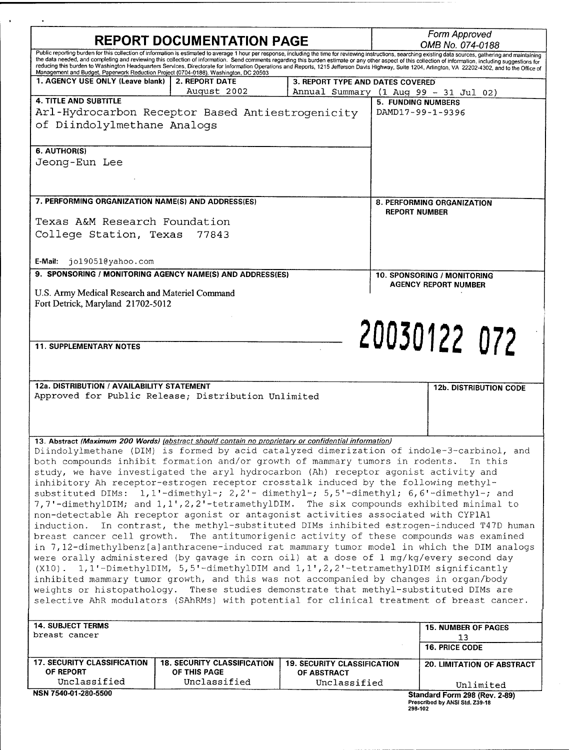| <b>REPORT DOCUMENTATION PAGE</b>                                                                                         |                                                                                                                                                                                                                                                                                                                                                                                                                                                                                                                                                                                                                                                                                                                                                                                                                                                                                                                             | Form Approved<br>OMB No. 074-0188                                         |                                                                                                                                                                                                                                                                                                                                                                                                                                                                                                                                                                                                                                            |  |
|--------------------------------------------------------------------------------------------------------------------------|-----------------------------------------------------------------------------------------------------------------------------------------------------------------------------------------------------------------------------------------------------------------------------------------------------------------------------------------------------------------------------------------------------------------------------------------------------------------------------------------------------------------------------------------------------------------------------------------------------------------------------------------------------------------------------------------------------------------------------------------------------------------------------------------------------------------------------------------------------------------------------------------------------------------------------|---------------------------------------------------------------------------|--------------------------------------------------------------------------------------------------------------------------------------------------------------------------------------------------------------------------------------------------------------------------------------------------------------------------------------------------------------------------------------------------------------------------------------------------------------------------------------------------------------------------------------------------------------------------------------------------------------------------------------------|--|
|                                                                                                                          |                                                                                                                                                                                                                                                                                                                                                                                                                                                                                                                                                                                                                                                                                                                                                                                                                                                                                                                             |                                                                           | Public reporting burden for this collection of information is estimated to average 1 hour per response, including the time for reviewing instructions, searching existing data sources, gathering and maintaining<br>the data needed, and completing and reviewing this collection of information. Send comments regarding this burden estimate or any other aspect of this collection of information, including suggestions for<br>reducing this burden to Washington Headquarters Services, Directorate for Information Operations and Reports, 1215 Jefferson Davis Highway, Suite 1204, Arlington, VA 22202-4302, and to the Office of |  |
| Management and Budget, Paperwork Reduction Project (0704-0188), Washington, DC 20503<br>1. AGENCY USE ONLY (Leave blank) | <b>2. REPORT DATE</b><br>August 2002                                                                                                                                                                                                                                                                                                                                                                                                                                                                                                                                                                                                                                                                                                                                                                                                                                                                                        | 3. REPORT TYPE AND DATES COVERED<br>Annual Summary (1 Aug 99 - 31 Jul 02) |                                                                                                                                                                                                                                                                                                                                                                                                                                                                                                                                                                                                                                            |  |
| <b>4. TITLE AND SUBTITLE</b><br>of Diindolylmethane Analogs<br>6. AUTHOR(S)<br>Jeong-Eun Lee                             | Arl-Hydrocarbon Receptor Based Antiestrogenicity                                                                                                                                                                                                                                                                                                                                                                                                                                                                                                                                                                                                                                                                                                                                                                                                                                                                            |                                                                           | 5. FUNDING NUMBERS<br>DAMD17-99-1-9396                                                                                                                                                                                                                                                                                                                                                                                                                                                                                                                                                                                                     |  |
| 7. PERFORMING ORGANIZATION NAME(S) AND ADDRESS(ES)<br>Texas A&M Research Foundation<br>College Station, Texas            |                                                                                                                                                                                                                                                                                                                                                                                                                                                                                                                                                                                                                                                                                                                                                                                                                                                                                                                             | 8. PERFORMING ORGANIZATION<br><b>REPORT NUMBER</b>                        |                                                                                                                                                                                                                                                                                                                                                                                                                                                                                                                                                                                                                                            |  |
| jo19051@yahoo.com<br>E-Mail:                                                                                             |                                                                                                                                                                                                                                                                                                                                                                                                                                                                                                                                                                                                                                                                                                                                                                                                                                                                                                                             |                                                                           |                                                                                                                                                                                                                                                                                                                                                                                                                                                                                                                                                                                                                                            |  |
| 9. SPONSORING / MONITORING AGENCY NAME(S) AND ADDRESS(ES)<br>U.S. Army Medical Research and Materiel Command             |                                                                                                                                                                                                                                                                                                                                                                                                                                                                                                                                                                                                                                                                                                                                                                                                                                                                                                                             |                                                                           | 10. SPONSORING / MONITORING<br><b>AGENCY REPORT NUMBER</b>                                                                                                                                                                                                                                                                                                                                                                                                                                                                                                                                                                                 |  |
| <b>11. SUPPLEMENTARY NOTES</b><br>12a. DISTRIBUTION / AVAILABILITY STATEMENT                                             | Approved for Public Release; Distribution Unlimited                                                                                                                                                                                                                                                                                                                                                                                                                                                                                                                                                                                                                                                                                                                                                                                                                                                                         |                                                                           | 20030122 072<br><b>12b. DISTRIBUTION CODE</b>                                                                                                                                                                                                                                                                                                                                                                                                                                                                                                                                                                                              |  |
| induction.                                                                                                               | 13. Abstract (Maximum 200 Words) (abstract should contain no proprietary or confidential information)<br>both compounds inhibit formation and/or growth of mammary tumors in rodents.<br>study, we have investigated the aryl hydrocarbon (Ah) receptor agonist activity and<br>inhibitory Ah receptor-estrogen receptor crosstalk induced by the following methyl-<br>substituted DIMs: 1,1'-dimethyl-; 2,2'- dimethyl-; 5,5'-dimethyl; 6,6'-dimethyl-; and<br>non-detectable Ah receptor agonist or antagonist activities associated with CYP1A1<br>were orally administered (by gavage in corn oil) at a dose of 1 mg/kg/every second day<br>(X10). 1, 1'-DimethylDIM, 5, 5'-dimethylDIM and 1, 1', 2, 2'-tetramethylDIM significantly<br>inhibited mammary tumor growth, and this was not accompanied by changes in organ/body<br>weights or histopathology. These studies demonstrate that methyl-substituted DIMs are |                                                                           | Diindolylmethane (DIM) is formed by acid catalyzed dimerization of indole-3-carbinol, and<br>In this<br>7,7'-dimethylDIM; and 1,1',2,2'-tetramethylDIM. The six compounds exhibited minimal to<br>In contrast, the methyl-substituted DIMs inhibited estrogen-induced T47D human<br>breast cancer cell growth. The antitumorigenic activity of these compounds was examined<br>in 7,12-dimethylbenz[a]anthracene-induced rat mammary tumor model in which the DIM analogs<br>selective AhR modulators (SAhRMs) with potential for clinical treatment of breast cancer.                                                                     |  |
| <b>14. SUBJECT TERMS</b><br>breast cancer                                                                                | <b>15. NUMBER OF PAGES</b>                                                                                                                                                                                                                                                                                                                                                                                                                                                                                                                                                                                                                                                                                                                                                                                                                                                                                                  |                                                                           |                                                                                                                                                                                                                                                                                                                                                                                                                                                                                                                                                                                                                                            |  |
|                                                                                                                          |                                                                                                                                                                                                                                                                                                                                                                                                                                                                                                                                                                                                                                                                                                                                                                                                                                                                                                                             |                                                                           | 13<br><b>16. PRICE CODE</b>                                                                                                                                                                                                                                                                                                                                                                                                                                                                                                                                                                                                                |  |
| <b>17. SECURITY CLASSIFICATION</b><br>OF REPORT                                                                          | <b>18. SECURITY CLASSIFICATION</b><br>OF THIS PAGE                                                                                                                                                                                                                                                                                                                                                                                                                                                                                                                                                                                                                                                                                                                                                                                                                                                                          | <b>19. SECURITY CLASSIFICATION</b><br><b>OF ABSTRACT</b>                  | <b>20. LIMITATION OF ABSTRACT</b>                                                                                                                                                                                                                                                                                                                                                                                                                                                                                                                                                                                                          |  |
| Unclassified<br>NSN 7540-01-280-5500                                                                                     | Unclassified                                                                                                                                                                                                                                                                                                                                                                                                                                                                                                                                                                                                                                                                                                                                                                                                                                                                                                                | Unclassified                                                              | Unlimited<br>Standard Form 298 (Rev. 2-89)                                                                                                                                                                                                                                                                                                                                                                                                                                                                                                                                                                                                 |  |
|                                                                                                                          |                                                                                                                                                                                                                                                                                                                                                                                                                                                                                                                                                                                                                                                                                                                                                                                                                                                                                                                             |                                                                           | Prescribed by ANSI Std. Z39-18<br>298-102                                                                                                                                                                                                                                                                                                                                                                                                                                                                                                                                                                                                  |  |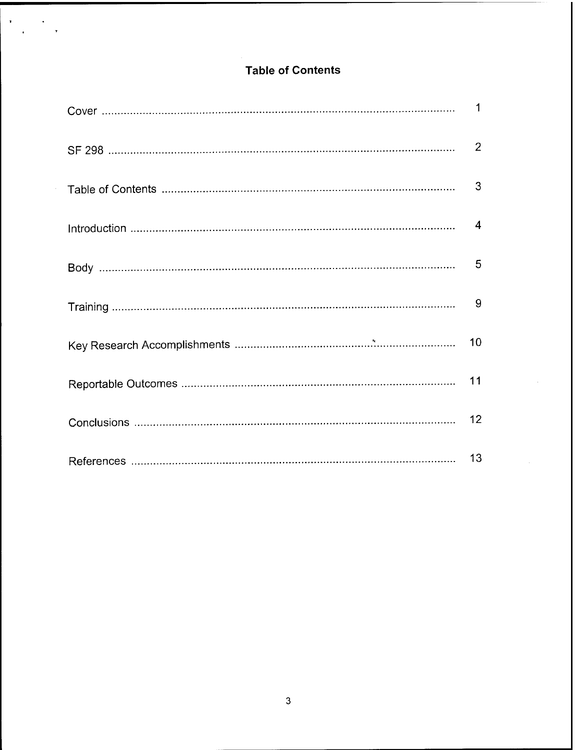# **Table of Contents**

 $\mathbf{r}$ 

 $\ddot{\phantom{a}}$  $\overline{ }$ 

| 11 |
|----|
| 12 |
|    |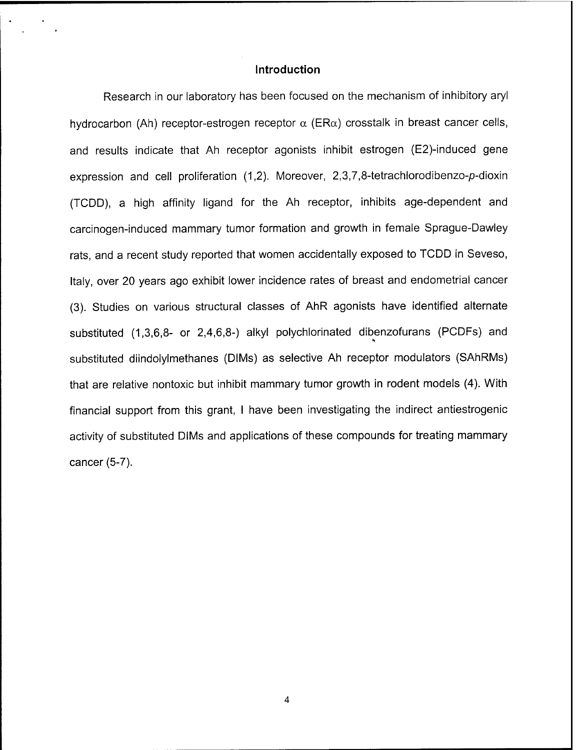#### **Introduction**

Research in our laboratory has been focused on the mechanism of inhibitory aryl hydrocarbon (Ah) receptor-estrogen receptor  $\alpha$  (ER $\alpha$ ) crosstalk in breast cancer cells, and results indicate that Ah receptor agonists inhibit estrogen (E2)-induced gene expression and cell proliferation (1,2). Moreover, 2,3,7,8-tetrachlorodibenzo-p-dioxin (TCDD), a high affinity ligand for the Ah receptor, inhibits age-dependent and carcinogen-induced mammary tumor formation and growth in female Sprague-Dawley rats, and a recent study reported that women accidentally exposed to TCDD in Seveso, Italy, over 20 years ago exhibit lower incidence rates of breast and endometrial cancer (3). Studies on various structural classes of AhR agonists have identified alternate substituted (1,3,6,8- or 2,4,6,8-) alkyl polychlorinated dibenzofurans (PCDFs) and substituted diindolylmethanes (DIMs) as selective Ah receptor modulators (SAhRMs) that are relative nontoxic but inhibit mammary tumor growth in rodent models (4). With financial support from this grant, <sup>I</sup> have been investigating the indirect antiestrogenic activity of substituted DIMs and applications of these compounds for treating mammary cancer (5-7).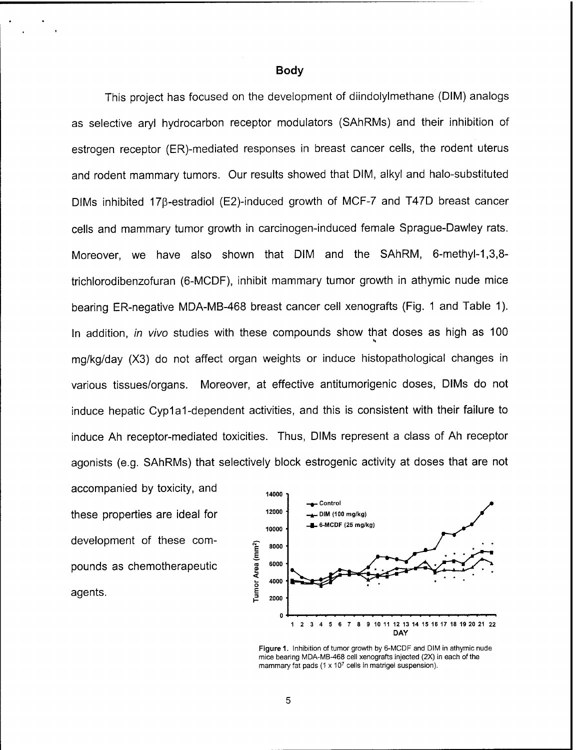**Body**

This project has focused on the development of diindolylmethane (DIM) analogs as selective aryl hydrocarbon receptor modulators (SAhRMs) and their inhibition of estrogen receptor (ER)-mediated responses in breast cancer cells, the rodent uterus and rodent mammary tumors. Our results showed that DIM, alkyl and halo-substituted DIMs inhibited 17ß-estradiol (E2)-induced growth of MCF-7 and T47D breast cancer cells and mammary tumor growth in carcinogen-induced female Sprague-Dawley rats. Moreover, we have also shown that DIM and the SAhRM, 6-methyl-1,3,8 trichlorodibenzofuran (6-MCDF), inhibit mammary tumor growth in athymic nude mice bearing ER-negative MDA-MB-468 breast cancer cell xenografts (Fig. <sup>1</sup> and Table 1). In addition, *in vivo* studies with these compounds show that doses as high as 100 mg/kg/day (X3) do not affect organ weights or induce histopathological changes in various tissues/organs. Moreover, at effective antitumorigenic doses, DIMs do not induce hepatic Cyp1a1-dependent activities, and this is consistent with their failure to induce Ah receptor-mediated toxicities. Thus, DIMs represent a class of Ah receptor agonists (e.g. SAhRMs) that selectively block estrogenic activity at doses that are not

accompanied by toxicity, and these properties are ideal for development of these compounds as chemotherapeutic agents.



**Figure 1.** Inhibition of tumor growth by 6-MCDF and DIM in athymic nude mice bearing MDA-MB-468 cell xenografts injected (2X) in each of the mammary fat pads (1 x 10<sup>7</sup> cells in matrigel suspension).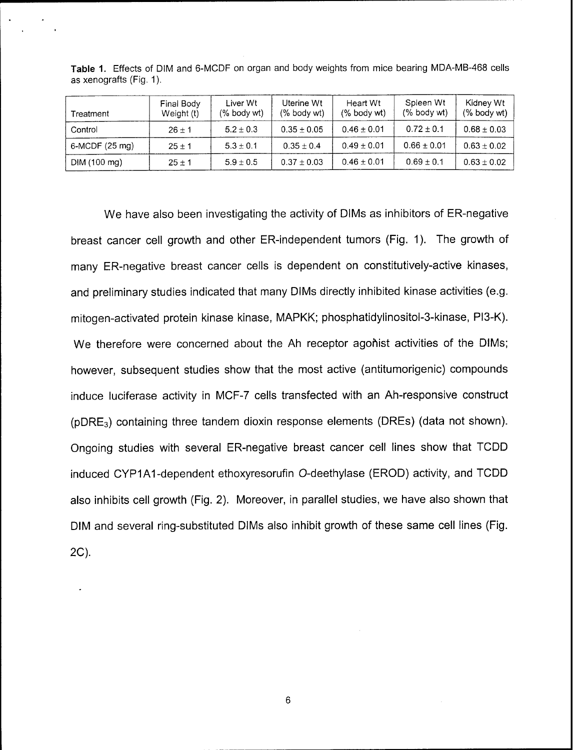| Treatment       | Final Body<br>Weight (t) | Liver Wt<br>$(\%$ body wt) | Uterine Wt<br>$%$ body wt) | Heart Wt<br>$(%$ body wt) | Spleen Wt<br>$(%$ body wt) | Kidney Wt<br>$%$ body wt) |
|-----------------|--------------------------|----------------------------|----------------------------|---------------------------|----------------------------|---------------------------|
| Control         | $26 \pm 1$               | $5.2 \pm 0.3$              | $0.35 \pm 0.05$            | $0.46 \pm 0.01$           | $0.72 \pm 0.1$             | $0.68 \pm 0.03$           |
| $6-MCDF(25 mg)$ | $25 \pm 1$               | $5.3 \pm 0.1$              | $0.35 \pm 0.4$             | $0.49 \pm 0.01$           | $0.66 \pm 0.01$            | $0.63 \pm 0.02$           |
| DIM (100 mg)    | $25 \pm 1$               | $5.9 \pm 0.5$              | $0.37 \pm 0.03$            | $0.46 \pm 0.01$           | $0.69 \pm 0.1$             | $0.63 \pm 0.02$           |

**Table 1.** Effects of DIM and 6-MCDF on organ and body weights from mice bearing MDA-MB-468 cells as xenografts (Fig. 1).

We have also been investigating the activity of DIMs as inhibitors of ER-negative breast cancer cell growth and other ER-independent tumors (Fig. 1). The growth of many ER-negative breast cancer cells is dependent on constitutively-active kinases, and preliminary studies indicated that many DIMs directly inhibited kinase activities (e.g. mitogen-activated protein kinase kinase, MAPKK; phosphatidylinositol-3-kinase, PI3-K). We therefore were concerned about the Ah receptor agohist activities of the DIMs; however, subsequent studies show that the most active (antitumorigenic) compounds induce luciferase activity in MCF-7 cells transfected with an Ah-responsive construct (pDRE3) containing three tandem dioxin response elements (DREs) (data not shown). Ongoing studies with several ER-negative breast cancer cell lines show that TCDD induced CYP1A1-dependent ethoxyresorufin O-deethylase (EROD) activity, and TCDD also inhibits cell growth (Fig. 2). Moreover, in parallel studies, we have also shown that DIM and several ring-substituted DIMs also inhibit growth of these same cell lines (Fig. 2C).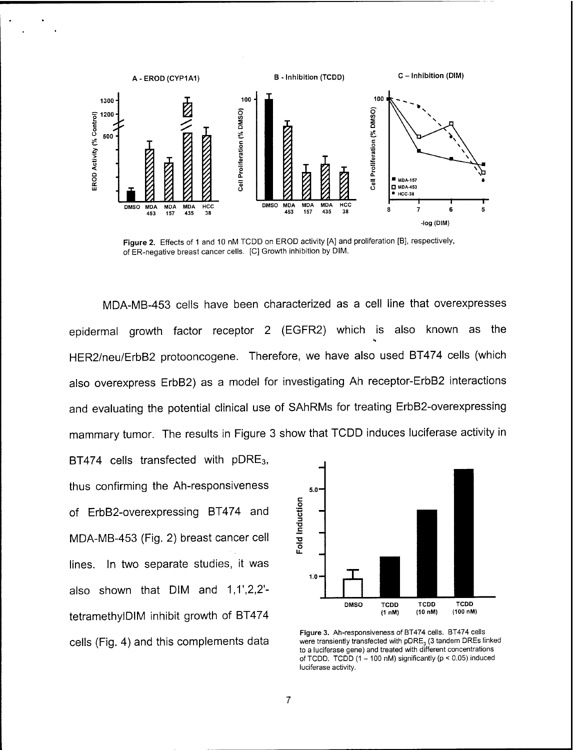

**Figure 2.** Effects of <sup>1</sup> and 10 nM TCDD on EROD activity [A] and proliferation [B], respectively, of ER-negative breast cancer cells. [C] Growth inhibition by DIM.

MDA-MB-453 cells have been characterized as a cell line that overexpresses epidermal growth factor receptor 2 (EGFR2) which is also known as the HER2/neu/ErbB2 protooncogene. Therefore, we have also used BT474 cells (which also overexpress ErbB2) as a model for investigating Ah receptor-ErbB2 interactions and evaluating the potential clinical use of SAhRMs for treating ErbB2-overexpressing mammary tumor. The results in Figure 3 show that TCDD induces luciferase activity in

BT474 cells transfected with pDRE<sub>3</sub>, thus confirming the Ah-responsiveness of ErbB2-overexpressing BT474 and MDA-MB-453 (Fig. 2) breast cancer cell lines. In two separate studies, it was also shown that DIM and *<sup>J</sup> \,V,2,2'* tetramethylDIM inhibit growth of BT474 cells (Fig. 4) and this complements data



**Figure 3.** Ah-responsiveness of BT474 cells. BT474 ceils were transiently transfected with pDRE<sub>3</sub> (3 tandem DREs linked to a luciferase gene) and treated with different concentrations of TCDD. TCDD  $(1 - 100 \text{ nM})$  significantly  $(p < 0.05)$  induced luciferase activity.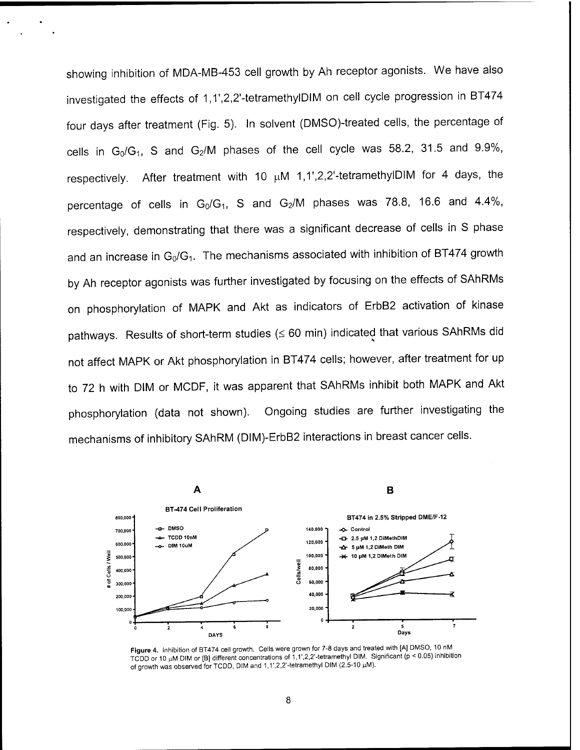showing inhibition of MDA-MB-453 cell growth by Ah receptor agonists. We have also investigated the effects of 1,1',2,2'-tetramethylDIM on cell cycle progression in BT474 four days after treatment (Fig. 5). In solvent (DMSO)-treated cells, the percentage of cells in  $G_0/G_1$ , S and  $G_2/M$  phases of the cell cycle was 58.2, 31.5 and 9.9%, respectively. After treatment with 10  $\mu$ M 1,1',2,2'-tetramethylDIM for 4 days, the percentage of cells in  $G_0/G_1$ , S and  $G_2/M$  phases was 78.8, 16.6 and 4.4%, respectively, demonstrating that there was a significant decrease of cells in S phase and an increase in  $G_0/G_1$ . The mechanisms associated with inhibition of BT474 growth by Ah receptor agonists was further investigated by focusing on the effects of SAhRMs on phosphorylation of MAPK and Akt as indicators of ErbB2 activation of kinase pathways. Results of short-term studies (< 60 min) indicated that various SAhRMs did not affect MAPK or Akt phosphorylation in BT474 cells; however, after treatment for up to 72 h with DIM or MCDF, it was apparent that SAhRMs inhibit both MAPK and Akt phosphorylation (data not shown). Ongoing studies are further investigating the mechanisms of inhibitory SAhRM (DIM)-ErbB2 interactions in breast cancer cells.



**Figure 4.** Inhibition of BT474 cell growth. Cells were grown for 7-8 days and treated with [A] DMSO, 10 nM TCDD or 10  $\mu$ M DIM or [B] different concentrations of 1,1',2,2'-tetramethyl DIM. Significant (p < 0.05) inhibition of growth was observed for TCDD, DIM and 1,1',2,2'-tetramethyl DIM (2.5-10 µM).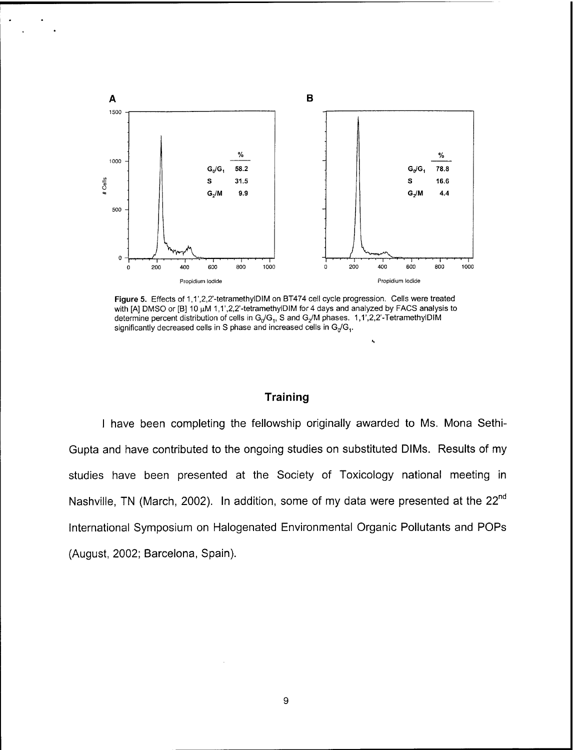

**Figure 5.** Effects of 1,1',2,2'-tetramethylDIM on BT474 cell cycle progression. Cells were treated with [A] DMSO or [B] 10  $\mu$ M 1,1',2,2'-tetramethylDIM for 4 days and analyzed by FACS analysis to determine percent distribution of cells in  $G_0/G_1$ , S and  $G_2/M$  phases. 1,1',2,2'-TetramethylDIM significantly decreased cells in S phase and increased cells in  $G_n/G_1$ .

### **Training**

**<sup>I</sup>** have been completing the fellowship originally awarded to Ms. Mona Sethi-Gupta and have contributed to the ongoing studies on substituted DIMs. Results of my studies have been presented at the Society of Toxicology national meeting in Nashville, TN (March, 2002). In addition, some of my data were presented at the 22<sup>nd</sup> International Symposium on Halogenated Environmental Organic Pollutants and POPs (August, 2002; Barcelona, Spain).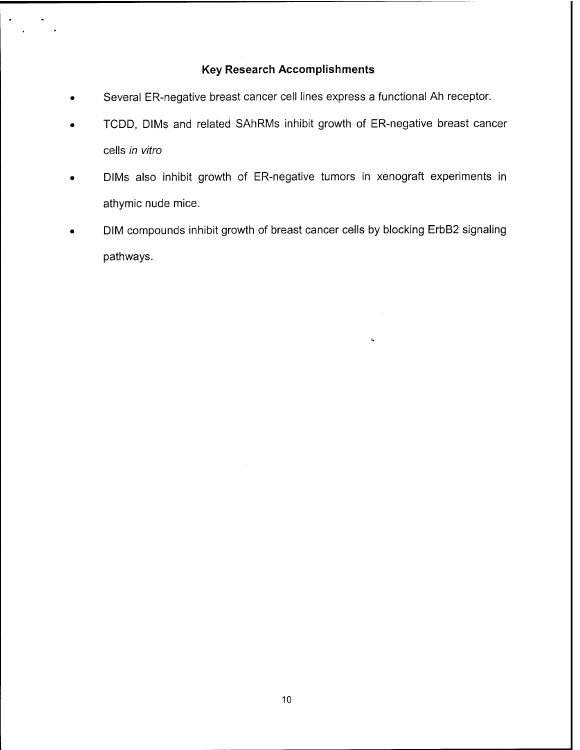## **Key Research Accomplishments**

- Several ER-negative breast cancer cell lines express a functional Ah receptor.
- TCDD, DIMs and related SAhRMs inhibit growth of ER-negative breast cancer cells *in vitro*
- DIMs also inhibit growth of ER-negative tumors in xenograft experiments in athymic nude mice.
- DIM compounds inhibit growth of breast cancer cells by blocking ErbB2 signaling pathways.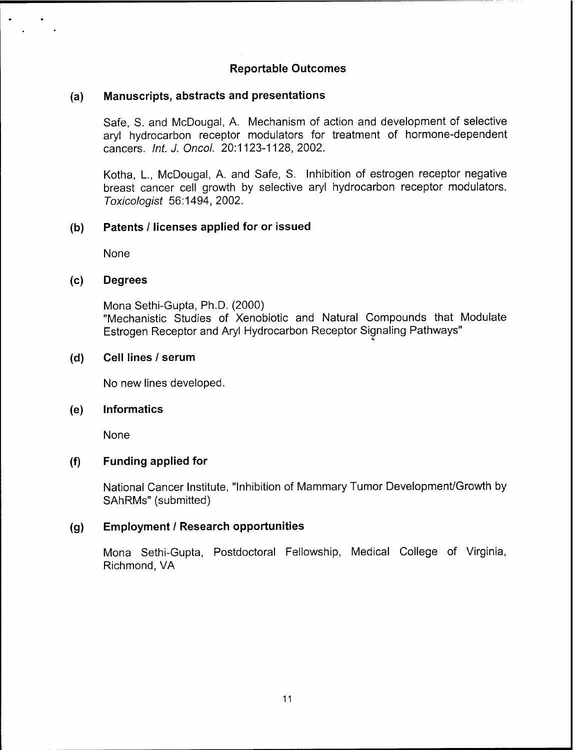## **Reportable Outcomes**

### **(a) Manuscripts, abstracts and presentations**

Safe, S. and McDougal, A. Mechanism of action and development of selective aryl hydrocarbon receptor modulators for treatment of hormone-dependent cancers. *Int. J. Oncol.* 20:1123-1128,2002.

Kotha, L, McDougal, A. and Safe, S. Inhibition of estrogen receptor negative breast cancer cell growth by selective aryl hydrocarbon receptor modulators. *Toxicologist* 56:1494, 2002.

### **(b) Patents / licenses applied for or issued**

None

### **(c) Degrees**

Mona Sethi-Gupta, Ph.D. (2000) "Mechanistic Studies of Xenobiotic and Natural Compounds that Modulate Estrogen Receptor and Aryl Hydrocarbon Receptor Signaling Pathways"

### **(d) Cell lines / serum**

No new lines developed.

#### **(e) Informatics**

None

### **(f) Funding applied for**

National Cancer Institute, "Inhibition of Mammary Tumor Development/Growth by SAhRMs" (submitted)

### **(g) Employment / Research opportunities**

Mona Sethi-Gupta, Postdoctoral Fellowship, Medical College of Virginia, Richmond, VA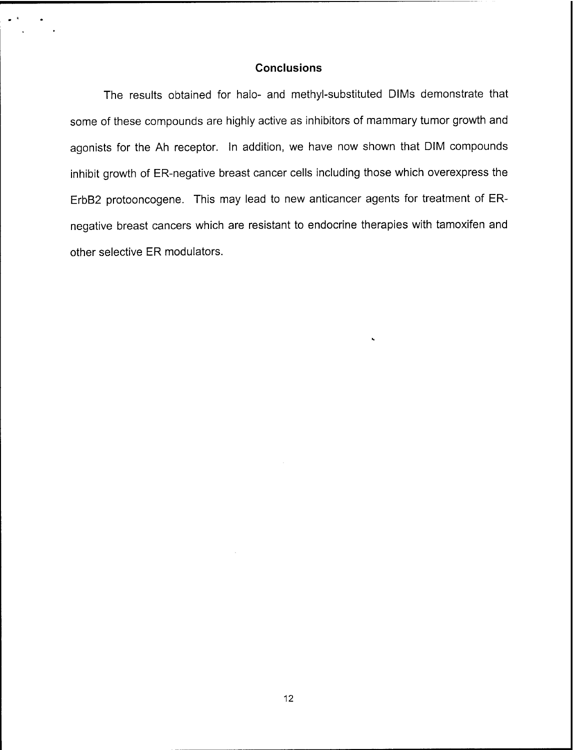#### **Conclusions**

The results obtained for halo- and methyl-substituted DIMs demonstrate that some of these compounds are highly active as inhibitors of mammary tumor growth and agonists for the Ah receptor. In addition, we have now shown that DIM compounds inhibit growth of ER-negative breast cancer cells including those which overexpress the ErbB2 protooncogene. This may lead to new anticancer agents for treatment of ERnegative breast cancers which are resistant to endocrine therapies with tamoxifen and other selective ER modulators.